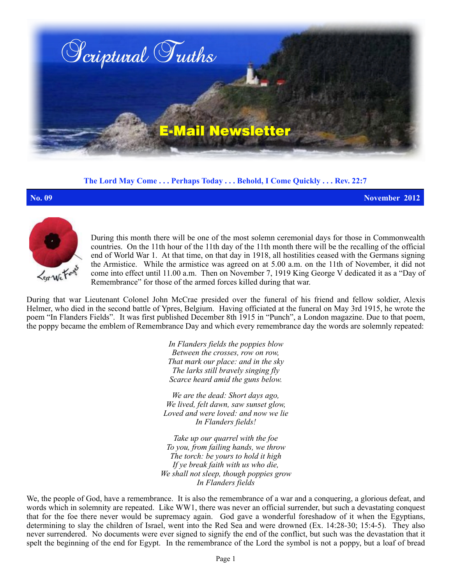

**The Lord May Come . . . Perhaps Today . . . Behold, I Come Quickly . . . Rev. 22:7**

**No. 09 November 2012**



During this month there will be one of the most solemn ceremonial days for those in Commonwealth countries. On the 11th hour of the 11th day of the 11th month there will be the recalling of the official end of World War 1. At that time, on that day in 1918, all hostilities ceased with the Germans signing the Armistice. While the armistice was agreed on at 5.00 a.m. on the 11th of November, it did not come into effect until 11.00 a.m. Then on November 7, 1919 King George V dedicated it as a "Day of Remembrance" for those of the armed forces killed during that war.

During that war Lieutenant Colonel John McCrae presided over the funeral of his friend and fellow soldier, Alexis Helmer, who died in the second battle of Ypres, Belgium. Having officiated at the funeral on May 3rd 1915, he wrote the poem "In Flanders Fields". It was first published December 8th 1915 in "Punch", a London magazine. Due to that poem, the poppy became the emblem of Remembrance Day and which every remembrance day the words are solemnly repeated:

> *In Flanders fields the poppies blow Between the crosses, row on row, That mark our place: and in the sky The larks still bravely singing fly Scarce heard amid the guns below.*

*We are the dead: Short days ago, We lived, felt dawn, saw sunset glow, Loved and were loved: and now we lie In Flanders fields!*

*Take up our quarrel with the foe To you, from failing hands, we throw The torch: be yours to hold it high If ye break faith with us who die, We shall not sleep, though poppies grow In Flanders fields*

We, the people of God, have a remembrance. It is also the remembrance of a war and a conquering, a glorious defeat, and words which in solemnity are repeated. Like WW1, there was never an official surrender, but such a devastating conquest that for the foe there never would be supremacy again. God gave a wonderful foreshadow of it when the Egyptians, determining to slay the children of Israel, went into the Red Sea and were drowned (Ex. 14:28-30; 15:4-5). They also never surrendered. No documents were ever signed to signify the end of the conflict, but such was the devastation that it spelt the beginning of the end for Egypt. In the remembrance of the Lord the symbol is not a poppy, but a loaf of bread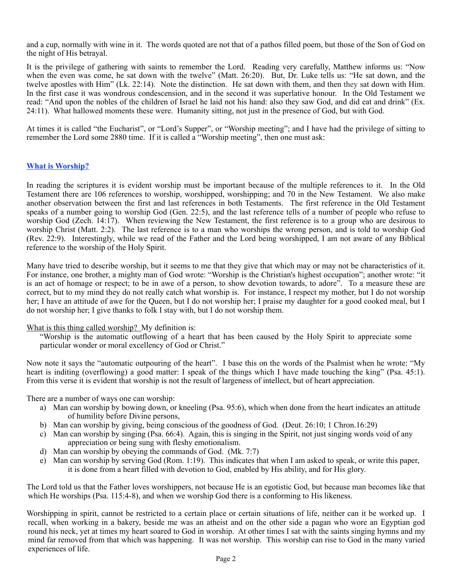and a cup, normally with wine in it. The words quoted are not that of a pathos filled poem, but those of the Son of God on the night of His betrayal.

It is the privilege of gathering with saints to remember the Lord. Reading very carefully, Matthew informs us: "Now when the even was come, he sat down with the twelve" (Matt. 26:20). But, Dr. Luke tells us: "He sat down, and the twelve apostles with Him" (Lk. 22:14). Note the distinction. He sat down with them, and then they sat down with Him. In the first case it was wondrous condescension, and in the second it was superlative honour. In the Old Testament we read: "And upon the nobles of the children of Israel he laid not his hand: also they saw God, and did eat and drink" (Ex. 24:11). What hallowed moments these were. Humanity sitting, not just in the presence of God, but with God.

At times it is called "the Eucharist", or "Lord's Supper", or "Worship meeting"; and I have had the privilege of sitting to remember the Lord some 2880 time. If it is called a "Worship meeting", then one must ask:

## **What is Worship?**

In reading the scriptures it is evident worship must be important because of the multiple references to it. In the Old Testament there are 106 references to worship, worshipped, worshipping; and 70 in the New Testament. We also make another observation between the first and last references in both Testaments. The first reference in the Old Testament speaks of a number going to worship God (Gen. 22:5), and the last reference tells of a number of people who refuse to worship God (Zech. 14:17). When reviewing the New Testament, the first reference is to a group who are desirous to worship Christ (Matt. 2:2). The last reference is to a man who worships the wrong person, and is told to worship God (Rev. 22:9). Interestingly, while we read of the Father and the Lord being worshipped, I am not aware of any Biblical reference to the worship of the Holy Spirit.

Many have tried to describe worship, but it seems to me that they give that which may or may not be characteristics of it. For instance, one brother, a mighty man of God wrote: "Worship is the Christian's highest occupation"; another wrote: "it is an act of homage or respect; to be in awe of a person, to show devotion towards, to adore". To a measure these are correct, but to my mind they do not really catch what worship is. For instance, I respect my mother, but I do not worship her; I have an attitude of awe for the Queen, but I do not worship her; I praise my daughter for a good cooked meal, but I do not worship her; I give thanks to folk I stay with, but I do not worship them.

## What is this thing called worship? My definition is:

"Worship is the automatic outflowing of a heart that has been caused by the Holy Spirit to appreciate some particular wonder or moral excellency of God or Christ."

Now note it says the "automatic outpouring of the heart". I base this on the words of the Psalmist when he wrote: "My heart is inditing (overflowing) a good matter: I speak of the things which I have made touching the king" (Psa. 45:1). From this verse it is evident that worship is not the result of largeness of intellect, but of heart appreciation.

There are a number of ways one can worship:

- a) Man can worship by bowing down, or kneeling (Psa. 95:6), which when done from the heart indicates an attitude of humility before Divine persons,
- b) Man can worship by giving, being conscious of the goodness of God. (Deut. 26:10; 1 Chron.16:29)
- c) Man can worship by singing (Psa. 66:4). Again, this is singing in the Spirit, not just singing words void of any appreciation or being sung with fleshy emotionalism.
- d) Man can worship by obeying the commands of God. (Mk. 7:7)
- e) Man can worship by serving God (Rom. 1:19). This indicates that when I am asked to speak, or write this paper, it is done from a heart filled with devotion to God, enabled by His ability, and for His glory.

The Lord told us that the Father loves worshippers, not because He is an egotistic God, but because man becomes like that which He worships (Psa. 115:4-8), and when we worship God there is a conforming to His likeness.

Worshipping in spirit, cannot be restricted to a certain place or certain situations of life, neither can it be worked up. I recall, when working in a bakery, beside me was an atheist and on the other side a pagan who wore an Egyptian god round his neck, yet at times my heart soared to God in worship. At other times I sat with the saints singing hymns and my mind far removed from that which was happening. It was not worship. This worship can rise to God in the many varied experiences of life.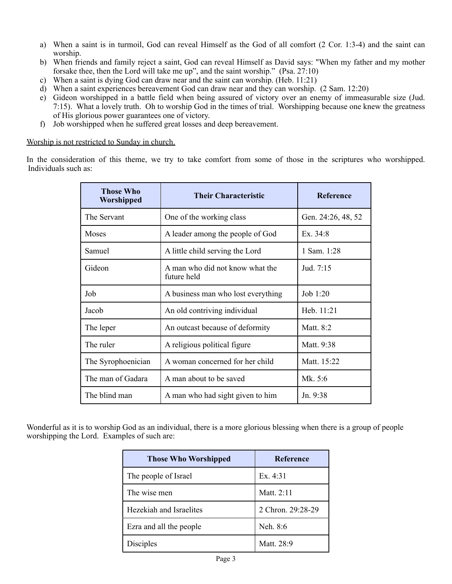- a) When a saint is in turmoil, God can reveal Himself as the God of all comfort (2 Cor. 1:3-4) and the saint can worship.
- b) When friends and family reject a saint, God can reveal Himself as David says: "When my father and my mother forsake thee, then the Lord will take me up", and the saint worship." (Psa. 27:10)
- c) When a saint is dying God can draw near and the saint can worship. (Heb. 11:21)
- d) When a saint experiences bereavement God can draw near and they can worship. (2 Sam. 12:20)
- e) Gideon worshipped in a battle field when being assured of victory over an enemy of immeasurable size (Jud. 7:15). What a lovely truth. Oh to worship God in the times of trial. Worshipping because one knew the greatness of His glorious power guarantees one of victory.
- f) Job worshipped when he suffered great losses and deep bereavement.

Worship is not restricted to Sunday in church.

In the consideration of this theme, we try to take comfort from some of those in the scriptures who worshipped. Individuals such as:

| <b>Those Who</b><br>Worshipped | <b>Their Characteristic</b>                    | <b>Reference</b>   |
|--------------------------------|------------------------------------------------|--------------------|
| The Servant                    | One of the working class                       | Gen. 24:26, 48, 52 |
| Moses                          | A leader among the people of God               | Ex. $34:8$         |
| Samuel                         | A little child serving the Lord                | 1 Sam. 1:28        |
| Gideon                         | A man who did not know what the<br>future held | Jud. 7:15          |
| Job                            | A business man who lost everything             | Job $1:20$         |
| Jacob                          | An old contriving individual                   | Heb. $11:21$       |
| The leper                      | An outcast because of deformity                | Matt. 8:2          |
| The ruler                      | A religious political figure                   | Matt. 9:38         |
| The Syrophoenician             | A woman concerned for her child                | Matt. 15:22        |
| The man of Gadara              | A man about to be saved                        | Mk. 5:6            |
| The blind man                  | A man who had sight given to him               | Jn. 9:38           |

Wonderful as it is to worship God as an individual, there is a more glorious blessing when there is a group of people worshipping the Lord. Examples of such are:

| <b>Those Who Worshipped</b> | <b>Reference</b>  |
|-----------------------------|-------------------|
| The people of Israel        | Ex.4:31           |
| The wise men                | Matt. 2:11        |
| Hezekiah and Israelites     | 2 Chron. 29:28-29 |
| Ezra and all the people     | Neh. 8:6          |
| <b>Disciples</b>            | Matt. 28:9        |